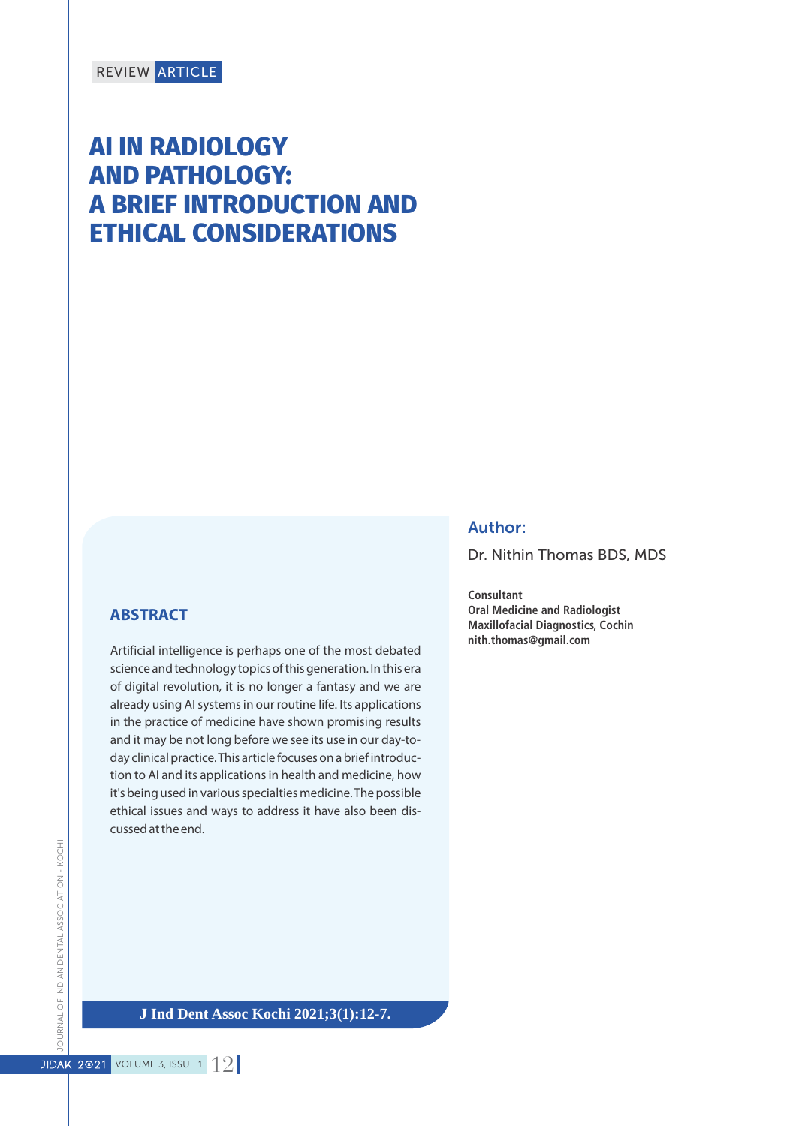# **AI IN RADIOLOGY AND PATHOLOGY: A BRIEF INTRODUCTION AND ETHICAL CONSIDERATIONS**

#### **ABSTRACT**

Artificial intelligence is perhaps one of the most debated science and technology topics of this generation. In this era of digital revolution, it is no longer a fantasy and we are already using AI systems in our routine life. Its applications in the practice of medicine have shown promising results and it may be not long before we see its use in our day-today clinical practice. This article focuses on a brief introduction to AI and its applications in health and medicine, how it's being used in various specialties medicine. The possible ethical issues and ways to address it have also been discussed at the end.

#### Author:

Dr. Nithin Thomas BDS, MDS

**Consultant Oral Medicine and Radiologist Maxillofacial Diagnostics, Cochin nith.thomas@gmail.com**

**J Ind Dent Assoc Kochi 2021;3(1):12-7.**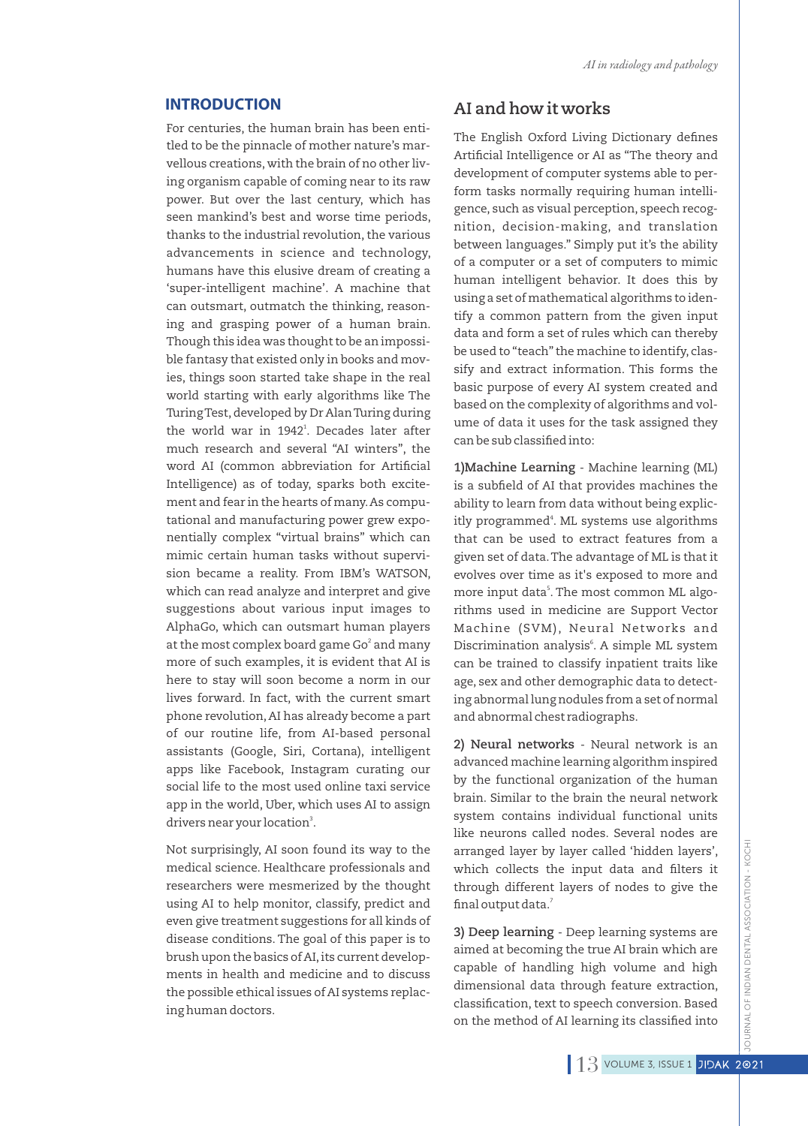#### **INTRODUCTION**

For centuries, the human brain has been entitled to be the pinnacle of mother nature's marvellous creations, with the brain of no other living organism capable of coming near to its raw power. But over the last century, which has seen mankind's best and worse time periods, thanks to the industrial revolution, the various advancements in science and technology, humans have this elusive dream of creating a 'super-intelligent machine'. A machine that can outsmart, outmatch the thinking, reasoning and grasping power of a human brain. Though this idea was thought to be an impossible fantasy that existed only in books and movies, things soon started take shape in the real world starting with early algorithms like The Turing Test, developed by Dr Alan Turing during the world war in 1942<sup>1</sup>. Decades later after much research and several "AI winters", the word AI (common abbreviation for Artificial Intelligence) as of today, sparks both excitement and fear in the hearts of many.As computational and manufacturing power grew exponentially complex "virtual brains" which can mimic certain human tasks without supervision became a reality. From IBM's WATSON, which can read analyze and interpret and give suggestions about various input images to AlphaGo, which can outsmart human players at the most complex board game Go $^{\rm 2}$  and many more of such examples, it is evident that AI is here to stay will soon become a norm in our lives forward. In fact, with the current smart phone revolution,AI has already become a part of our routine life, from AI-based personal assistants (Google, Siri, Cortana), intelligent apps like Facebook, Instagram curating our social life to the most used online taxi service app in the world, Uber, which uses AI to assign drivers near your location<sup>3</sup>.

Not surprisingly, AI soon found its way to the medical science. Healthcare professionals and researchers were mesmerized by the thought using AI to help monitor, classify, predict and even give treatment suggestions for all kinds of disease conditions. The goal of this paper is to brush upon the basics of AI,its current developments in health and medicine and to discuss the possible ethical issues of AI systems replacing human doctors.

# **AI and how it works**

The English Oxford Living Dictionary defines Artificial Intelligence or AI as "The theory and development of computer systems able to perform tasks normally requiring human intelligence, such as visual perception, speech recognition, decision-making, and translation between languages." Simply put it's the ability of a computer or a set of computers to mimic human intelligent behavior. It does this by using a set of mathematical algorithms to identify a common pattern from the given input data and form a set of rules which can thereby be used to "teach" the machine to identify, classify and extract information. This forms the basic purpose of every AI system created and based on the complexity of algorithms and volume of data it uses for the task assigned they can be sub classified into:

**1)Machine Learning** - Machine learning (ML) is a subfield of AI that provides machines the ability to learn from data without being explicitly programmed<sup>4</sup>. ML systems use algorithms that can be used to extract features from a given set of data.The advantage of ML is that it evolves over time as it's exposed to more and more input data<sup>s</sup>. The most common ML algorithms used in medicine are Support Vector Machine (SVM), Neural Networks and Discrimination analysis<sup>6</sup>. A simple ML system can be trained to classify inpatient traits like age, sex and other demographic data to detecting abnormal lung nodules from a set of normal and abnormal chest radiographs.

**2) Neural networks** - Neural network is an advanced machine learning algorithm inspired by the functional organization of the human brain. Similar to the brain the neural network system contains individual functional units like neurons called nodes. Several nodes are arranged layer by layer called 'hidden layers', which collects the input data and filters it through different layers of nodes to give the final output data.<sup>7</sup>

**3) Deep learning** - Deep learning systems are aimed at becoming the true AI brain which are capable of handling high volume and high dimensional data through feature extraction, classification, text to speech conversion. Based on the method of AI learning its classified into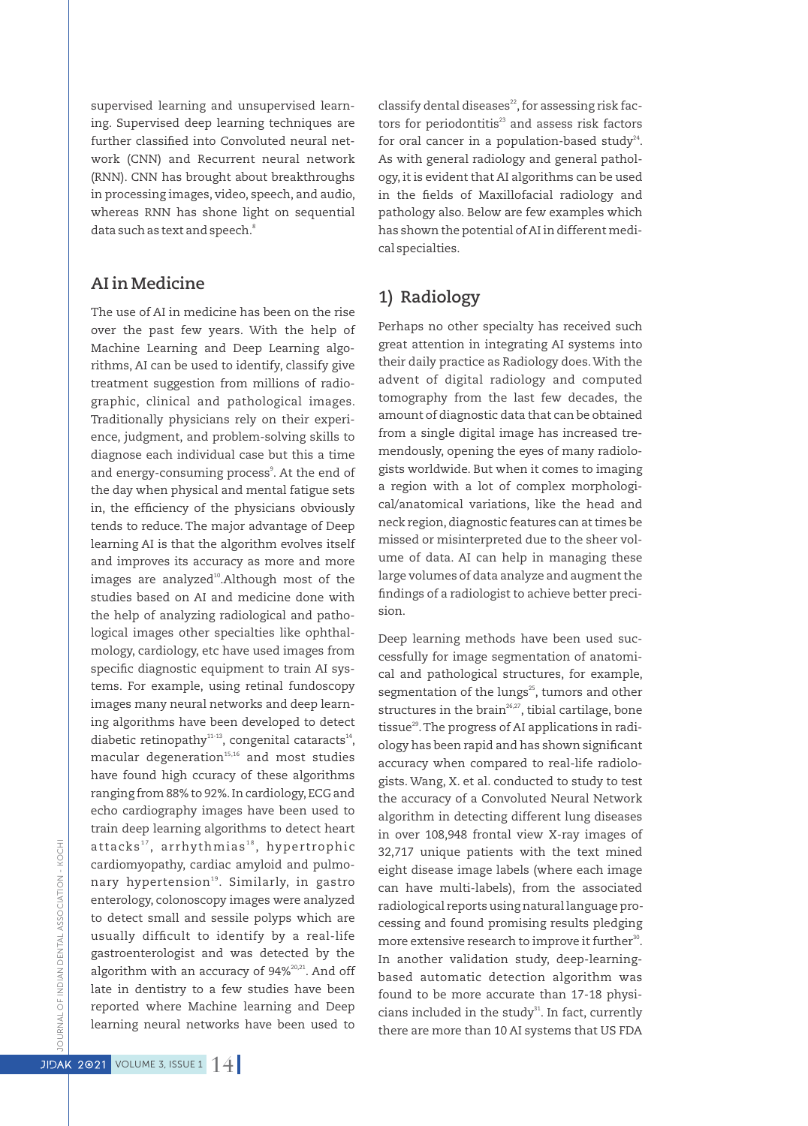supervised learning and unsupervised learning. Supervised deep learning techniques are further classified into Convoluted neural network (CNN) and Recurrent neural network (RNN). CNN has brought about breakthroughs in processing images, video, speech, and audio, whereas RNN has shone light on sequential 8 data such as text and speech.

#### **AI in Medicine**

The use of AI in medicine has been on the rise over the past few years. With the help of Machine Learning and Deep Learning algorithms, AI can be used to identify, classify give treatment suggestion from millions of radiographic, clinical and pathological images. Traditionally physicians rely on their experience, judgment, and problem-solving skills to diagnose each individual case but this a time and energy-consuming process<sup>3</sup>. At the end of the day when physical and mental fatigue sets in, the efficiency of the physicians obviously tends to reduce. The major advantage of Deep learning AI is that the algorithm evolves itself and improves its accuracy as more and more images are analyzed<sup>10</sup>.Although most of the studies based on AI and medicine done with the help of analyzing radiological and pathological images other specialties like ophthalmology, cardiology, etc have used images from specific diagnostic equipment to train AI systems. For example, using retinal fundoscopy images many neural networks and deep learning algorithms have been developed to detect diabetic retinopathy<sup>11-13</sup>, congenital cataracts<sup>14</sup>,  $m$  acular degeneration  $15,16$  and most studies have found high ccuracy of these algorithms ranging from 88% to 92%.In cardiology,ECG and echo cardiography images have been used to train deep learning algorithms to detect heart attacks<sup>17</sup>, arrhythmias<sup>18</sup>, hypertrophic cardiomyopathy, cardiac amyloid and pulmonary hypertension<sup>19</sup>. Similarly, in gastro enterology, colonoscopy images were analyzed to detect small and sessile polyps which are usually difficult to identify by a real-life gastroenterologist and was detected by the algorithm with an accuracy of  $94\%^{20,21}$ . And off late in dentistry to a few studies have been reported where Machine learning and Deep learning neural networks have been used to

classify dental diseases $^{22}$ , for assessing risk factors for periodontitis<sup>23</sup> and assess risk factors for oral cancer in a population-based study $24$ . As with general radiology and general pathology, it is evident that AI algorithms can be used in the fields of Maxillofacial radiology and pathology also. Below are few examples which has shown the potential of AI in different medical specialties.

# **1) Radiology**

Perhaps no other specialty has received such great attention in integrating AI systems into their daily practice as Radiology does.With the advent of digital radiology and computed tomography from the last few decades, the amount of diagnostic data that can be obtained from a single digital image has increased tremendously, opening the eyes of many radiologists worldwide. But when it comes to imaging a region with a lot of complex morphological/anatomical variations, like the head and neck region,diagnostic features can at times be missed or misinterpreted due to the sheer volume of data. AI can help in managing these large volumes of data analyze and augment the ndings of a radiologist to achieve better precision.

Deep learning methods have been used successfully for image segmentation of anatomical and pathological structures, for example, segmentation of the lungs<sup>25</sup>, tumors and other structures in the brain $26.27$ , tibial cartilage, bone tissue $^{29}$ . The progress of AI applications in radiology has been rapid and has shown signicant accuracy when compared to real-life radiologists. Wang, X. et al. conducted to study to test the accuracy of a Convoluted Neural Network algorithm in detecting different lung diseases in over 108,948 frontal view X-ray images of 32,717 unique patients with the text mined eight disease image labels (where each image can have multi-labels), from the associated radiological reports using natural language processing and found promising results pledging more extensive research to improve it further<sup>30</sup>. In another validation study, deep-learningbased automatic detection algorithm was found to be more accurate than 17-18 physicians included in the study $31$ . In fact, currently there are more than 10 AI systems that US FDA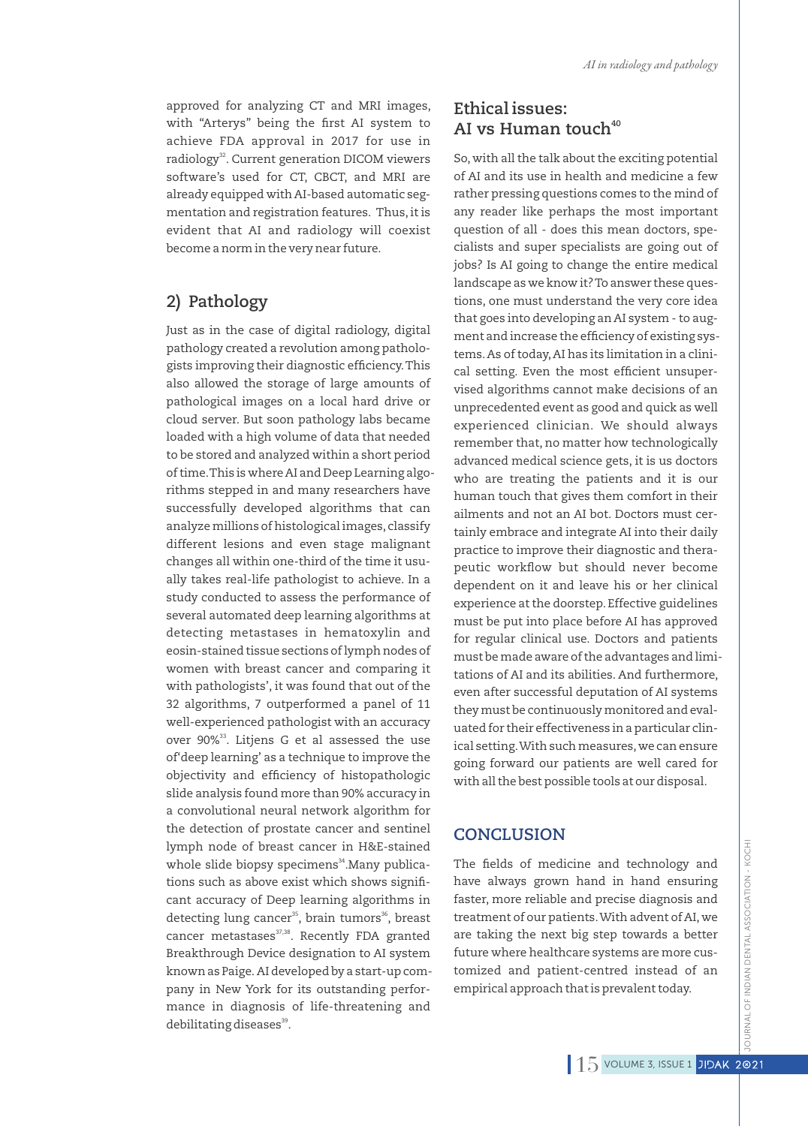approved for analyzing CT and MRI images, with "Arterys" being the first AI system to achieve FDA approval in 2017 for use in radiology<sup>32</sup>. Current generation DICOM viewers software's used for CT, CBCT, and MRI are already equipped with AI-based automatic segmentation and registration features. Thus, it is evident that AI and radiology will coexist become a norm in the very near future.

# **2) Pathology**

Just as in the case of digital radiology, digital pathology created a revolution among pathologists improving their diagnostic efficiency. This also allowed the storage of large amounts of pathological images on a local hard drive or cloud server. But soon pathology labs became loaded with a high volume of data that needed to be stored and analyzed within a short period of time.This is where AI and Deep Learning algorithms stepped in and many researchers have successfully developed algorithms that can analyze millions of histological images, classify different lesions and even stage malignant changes all within one-third of the time it usually takes real-life pathologist to achieve. In a study conducted to assess the performance of several automated deep learning algorithms at detecting metastases in hematoxylin and eosin-stained tissue sections of lymph nodes of women with breast cancer and comparing it with pathologists', it was found that out of the 32 algorithms, 7 outperformed a panel of 11 well-experienced pathologist with an accuracy over 90%<sup>33</sup>. Litjens G et al assessed the use of'deep learning' as a technique to improve the objectivity and efficiency of histopathologic slide analysis found more than 90% accuracy in a convolutional neural network algorithm for the detection of prostate cancer and sentinel lymph node of breast cancer in H&E-stained whole slide biopsy specimens<sup>34</sup>.Many publications such as above exist which shows significant accuracy of Deep learning algorithms in detecting lung cancer<sup>35</sup>, brain tumors<sup>36</sup>, breast cancer metastases<sup>37,38</sup>. Recently FDA granted Breakthrough Device designation to AI system known as Paige. AI developed by a start-up company in New York for its outstanding performance in diagnosis of life-threatening and debilitating diseases<sup>39</sup>.

# **Ethical issues: <sup>40</sup> AI vs Human touch**

So, with all the talk about the exciting potential of AI and its use in health and medicine a few rather pressing questions comes to the mind of any reader like perhaps the most important question of all - does this mean doctors, specialists and super specialists are going out of jobs? Is AI going to change the entire medical landscape as we know it? To answer these questions, one must understand the very core idea that goes into developing an AI system - to augment and increase the efficiency of existing systems.As of today,AI has its limitation in a clinical setting. Even the most efficient unsupervised algorithms cannot make decisions of an unprecedented event as good and quick as well experienced clinician. We should always remember that, no matter how technologically advanced medical science gets, it is us doctors who are treating the patients and it is our human touch that gives them comfort in their ailments and not an AI bot. Doctors must certainly embrace and integrate AI into their daily practice to improve their diagnostic and therapeutic workflow but should never become dependent on it and leave his or her clinical experience at the doorstep. Effective guidelines must be put into place before AI has approved for regular clinical use. Doctors and patients must be made aware of the advantages and limitations of AI and its abilities. And furthermore, even after successful deputation of AI systems they must be continuously monitored and evaluated for their effectiveness in a particular clinical setting.With such measures,we can ensure going forward our patients are well cared for with all the best possible tools at our disposal.

# **CONCLUSION**

The fields of medicine and technology and have always grown hand in hand ensuring faster, more reliable and precise diagnosis and treatment of our patients.With advent of AI, we are taking the next big step towards a better future where healthcare systems are more customized and patient-centred instead of an empirical approach that is prevalent today.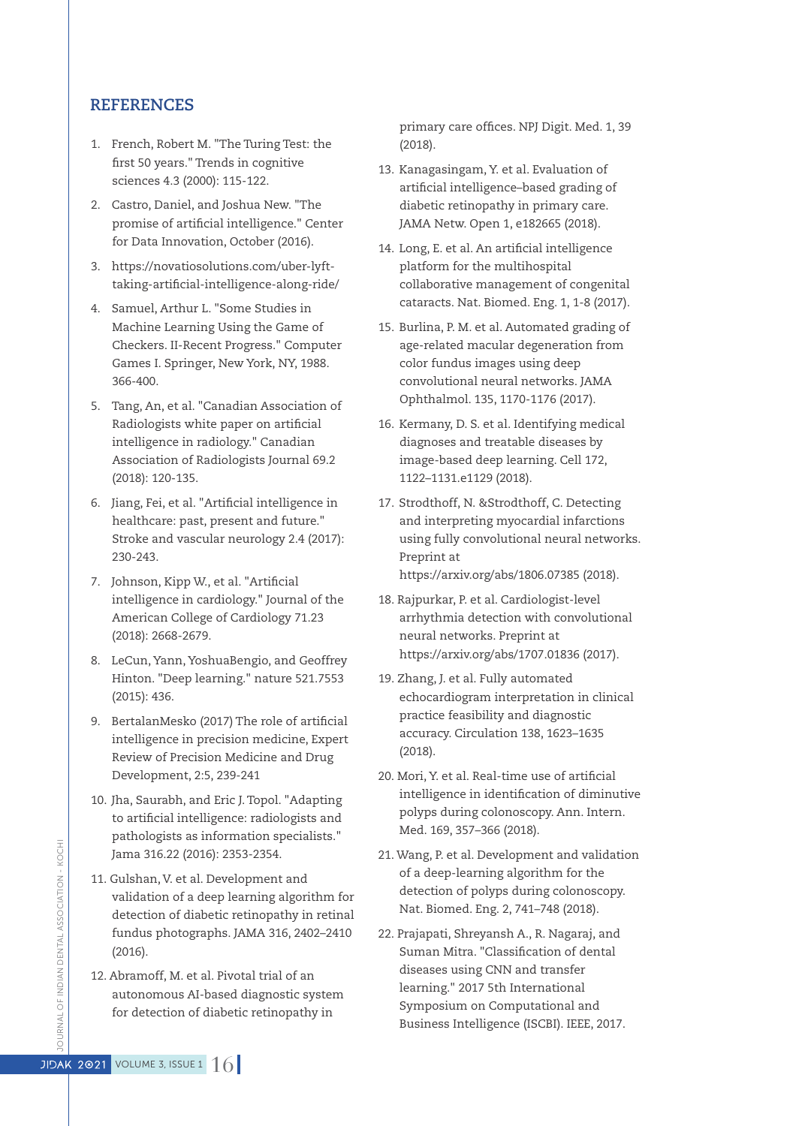#### **REFERENCES**

- 1. French, Robert M. "The Turing Test: the first 50 years." Trends in cognitive sciences 4.3 (2000): 115-122.
- 2. Castro, Daniel, and Joshua New. "The promise of artificial intelligence." Center for Data Innovation, October (2016).
- 3. https://novatiosolutions.com/uber-lyfttaking-artificial-intelligence-along-ride/
- 4. Samuel, Arthur L. "Some Studies in Machine Learning Using the Game of Checkers. II-Recent Progress." Computer Games I. Springer, New York, NY, 1988. 366-400.
- 5. Tang, An, et al. "Canadian Association of Radiologists white paper on artificial intelligence in radiology." Canadian Association of Radiologists Journal 69.2 (2018): 120-135.
- 6. Jiang, Fei, et al. "Artificial intelligence in healthcare: past, present and future." Stroke and vascular neurology 2.4 (2017): 230-243.
- 7. Johnson, Kipp W., et al. "Artificial intelligence in cardiology." Journal of the American College of Cardiology 71.23 (2018): 2668-2679.
- 8. LeCun, Yann, YoshuaBengio, and Geoffrey Hinton. "Deep learning." nature 521.7553 (2015): 436.
- 9. BertalanMesko (2017) The role of artificial intelligence in precision medicine, Expert Review of Precision Medicine and Drug Development, 2:5, 239-241
- 10. Jha, Saurabh, and Eric J.Topol. "Adapting to artificial intelligence: radiologists and pathologists as information specialists." Jama 316.22 (2016): 2353-2354.
- 11. Gulshan, V. et al. Development and validation of a deep learning algorithm for detection of diabetic retinopathy in retinal fundus photographs. JAMA 316, 2402–2410 (2016).
- 12. Abramoff, M. et al. Pivotal trial of an autonomous AI-based diagnostic system for detection of diabetic retinopathy in

primary care offices. NPJ Digit. Med. 1, 39 (2018).

- 13. Kanagasingam, Y. et al. Evaluation of artificial intelligence–based grading of diabetic retinopathy in primary care. JAMA Netw. Open 1, e182665 (2018).
- 14. Long, E. et al. An artificial intelligence platform for the multihospital collaborative management of congenital cataracts. Nat. Biomed. Eng. 1, 1-8 (2017).
- 15. Burlina, P. M. et al. Automated grading of age-related macular degeneration from color fundus images using deep convolutional neural networks. JAMA Ophthalmol. 135, 1170-1176 (2017).
- 16. Kermany, D. S. et al. Identifying medical diagnoses and treatable diseases by image-based deep learning. Cell 172, 1122–1131.e1129 (2018).
- 17. Strodthoff, N. &Strodthoff, C. Detecting and interpreting myocardial infarctions using fully convolutional neural networks. Preprint at

https://arxiv.org/abs/1806.07385 (2018).

- 18. Rajpurkar, P. et al. Cardiologist-level arrhythmia detection with convolutional neural networks. Preprint at https://arxiv.org/abs/1707.01836 (2017).
- 19. Zhang, J. et al. Fully automated echocardiogram interpretation in clinical practice feasibility and diagnostic accuracy. Circulation 138, 1623–1635 (2018).
- 20. Mori, Y. et al. Real-time use of artificial intelligence in identification of diminutive polyps during colonoscopy. Ann. Intern. Med. 169, 357–366 (2018).
- 21. Wang, P. et al. Development and validation of a deep-learning algorithm for the detection of polyps during colonoscopy. Nat. Biomed. Eng. 2, 741–748 (2018).
- 22. Prajapati, Shreyansh A., R. Nagaraj, and Suman Mitra. "Classification of dental diseases using CNN and transfer learning." 2017 5th International Symposium on Computational and Business Intelligence (ISCBI). IEEE, 2017.